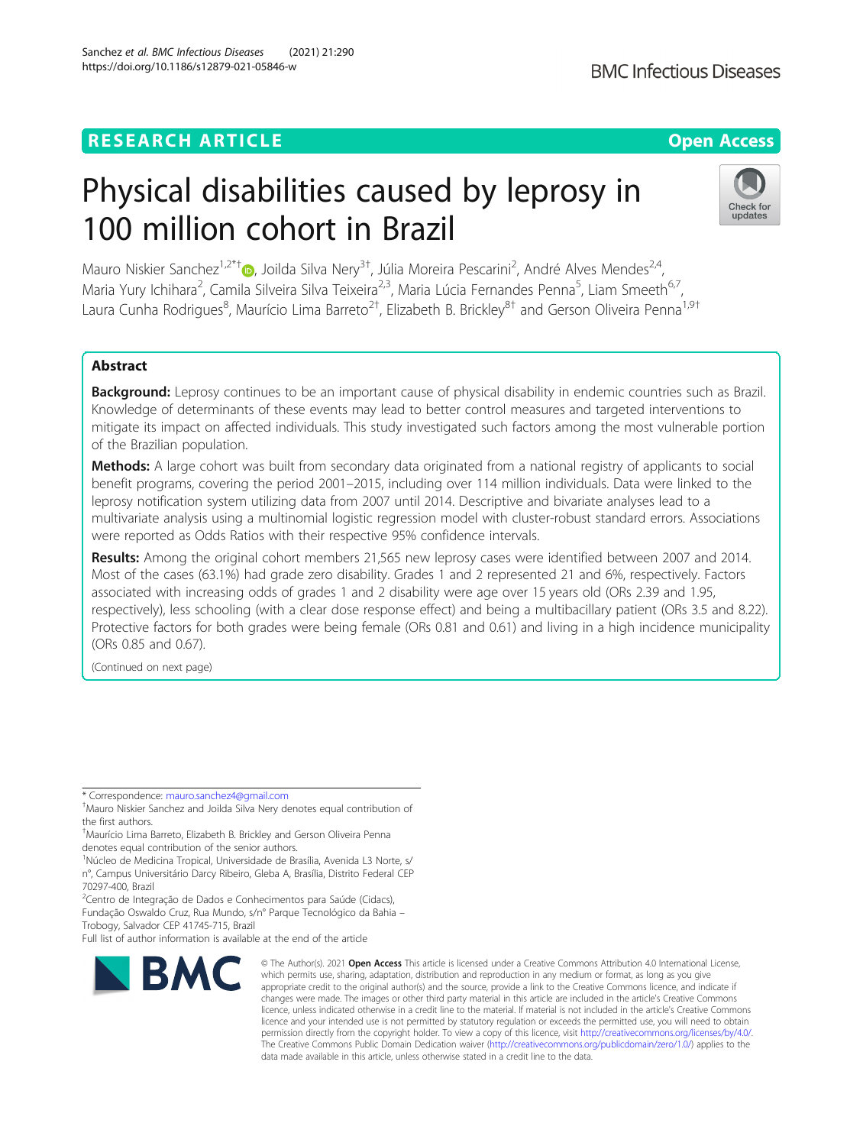# **RESEARCH ARTICLE Example 2014 12:30 The Contract of Contract ACCESS**

# Physical disabilities caused by leprosy in 100 million cohort in Brazil

Mauro Niskier Sanchez<sup>1[,](http://orcid.org/0000-0002-0472-1804)2\*†</sup>®, Joilda Silva Nery<sup>3†</sup>, Júlia Moreira Pescarini<sup>2</sup>, André Alves Mendes<sup>2,4</sup>, Maria Yury Ichihara<sup>2</sup>, Camila Silveira Silva Teixeira<sup>2,3</sup>, Maria Lúcia Fernandes Penna<sup>5</sup>, Liam Smeeth<sup>6,7</sup>, Laura Cunha Rodrigues<sup>8</sup>, Maurício Lima Barreto<sup>2†</sup>, Elizabeth B. Brickley<sup>8†</sup> and Gerson Oliveira Penna<sup>1,9†</sup>

# Abstract

**Background:** Leprosy continues to be an important cause of physical disability in endemic countries such as Brazil. Knowledge of determinants of these events may lead to better control measures and targeted interventions to mitigate its impact on affected individuals. This study investigated such factors among the most vulnerable portion of the Brazilian population.

Methods: A large cohort was built from secondary data originated from a national registry of applicants to social benefit programs, covering the period 2001–2015, including over 114 million individuals. Data were linked to the leprosy notification system utilizing data from 2007 until 2014. Descriptive and bivariate analyses lead to a multivariate analysis using a multinomial logistic regression model with cluster-robust standard errors. Associations were reported as Odds Ratios with their respective 95% confidence intervals.

Results: Among the original cohort members 21,565 new leprosy cases were identified between 2007 and 2014. Most of the cases (63.1%) had grade zero disability. Grades 1 and 2 represented 21 and 6%, respectively. Factors associated with increasing odds of grades 1 and 2 disability were age over 15 years old (ORs 2.39 and 1.95, respectively), less schooling (with a clear dose response effect) and being a multibacillary patient (ORs 3.5 and 8.22). Protective factors for both grades were being female (ORs 0.81 and 0.61) and living in a high incidence municipality (ORs 0.85 and 0.67).

(Continued on next page)

<sup>1</sup>Núcleo de Medicina Tropical, Universidade de Brasília, Avenida L3 Norte, s/ n°, Campus Universitário Darcy Ribeiro, Gleba A, Brasília, Distrito Federal CEP 70297-400, Brazil

Full list of author information is available at the end of the article

**RMC** 

#### © The Author(s), 2021 **Open Access** This article is licensed under a Creative Commons Attribution 4.0 International License, which permits use, sharing, adaptation, distribution and reproduction in any medium or format, as long as you give appropriate credit to the original author(s) and the source, provide a link to the Creative Commons licence, and indicate if changes were made. The images or other third party material in this article are included in the article's Creative Commons licence, unless indicated otherwise in a credit line to the material. If material is not included in the article's Creative Commons licence and your intended use is not permitted by statutory regulation or exceeds the permitted use, you will need to obtain permission directly from the copyright holder. To view a copy of this licence, visit [http://creativecommons.org/licenses/by/4.0/.](http://creativecommons.org/licenses/by/4.0/) The Creative Commons Public Domain Dedication waiver [\(http://creativecommons.org/publicdomain/zero/1.0/](http://creativecommons.org/publicdomain/zero/1.0/)) applies to the data made available in this article, unless otherwise stated in a credit line to the data.

Sanchez et al. BMC Infectious Diseases (2021) 21:290 https://doi.org/10.1186/s12879-021-05846-w





<sup>\*</sup> Correspondence: [mauro.sanchez4@gmail.com](mailto:mauro.sanchez4@gmail.com) †

Mauro Niskier Sanchez and Joilda Silva Nery denotes equal contribution of the first authors.

<sup>†</sup> Maurício Lima Barreto, Elizabeth B. Brickley and Gerson Oliveira Penna denotes equal contribution of the senior authors.

<sup>&</sup>lt;sup>2</sup>Centro de Integração de Dados e Conhecimentos para Saúde (Cidacs), Fundação Oswaldo Cruz, Rua Mundo, s/n° Parque Tecnológico da Bahia – Trobogy, Salvador CEP 41745-715, Brazil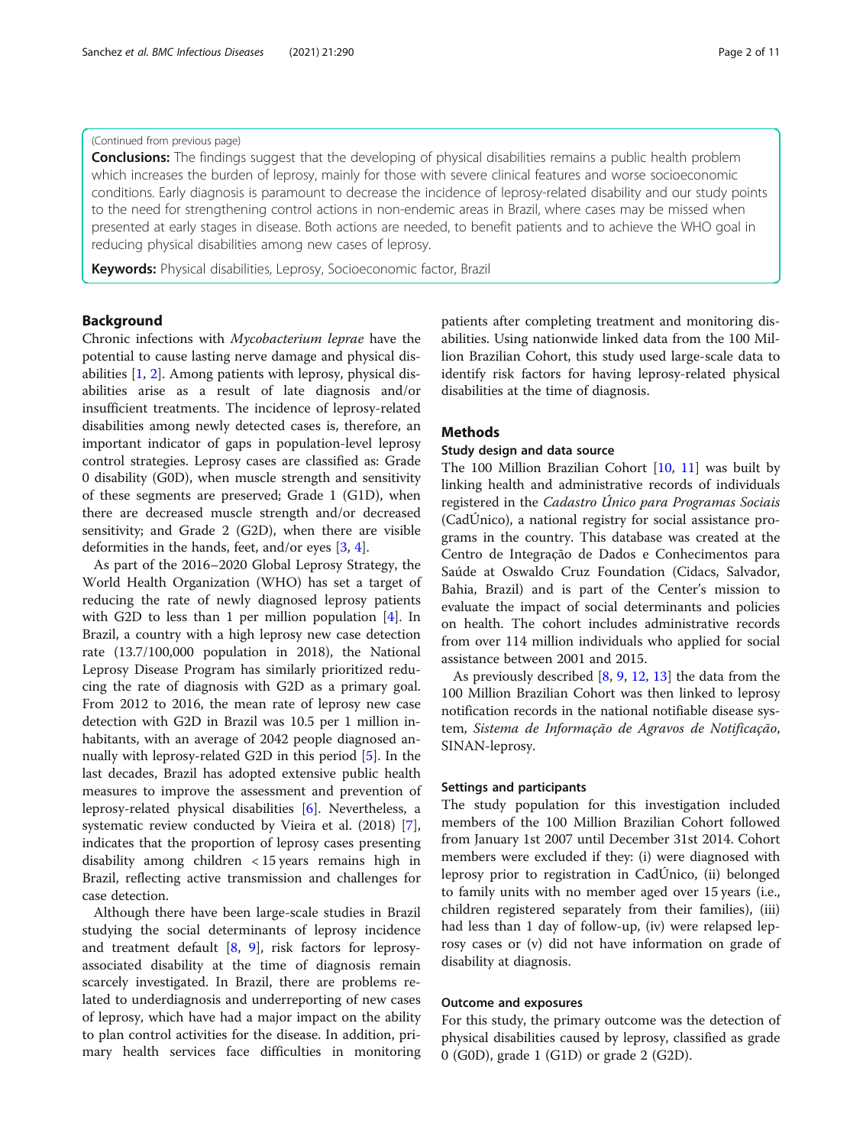# (Continued from previous page)

**Conclusions:** The findings suggest that the developing of physical disabilities remains a public health problem which increases the burden of leprosy, mainly for those with severe clinical features and worse socioeconomic conditions. Early diagnosis is paramount to decrease the incidence of leprosy-related disability and our study points to the need for strengthening control actions in non-endemic areas in Brazil, where cases may be missed when presented at early stages in disease. Both actions are needed, to benefit patients and to achieve the WHO goal in reducing physical disabilities among new cases of leprosy.

Keywords: Physical disabilities, Leprosy, Socioeconomic factor, Brazil

# Background

Chronic infections with Mycobacterium leprae have the potential to cause lasting nerve damage and physical disabilities [[1,](#page-9-0) [2\]](#page-9-0). Among patients with leprosy, physical disabilities arise as a result of late diagnosis and/or insufficient treatments. The incidence of leprosy-related disabilities among newly detected cases is, therefore, an important indicator of gaps in population-level leprosy control strategies. Leprosy cases are classified as: Grade 0 disability (G0D), when muscle strength and sensitivity of these segments are preserved; Grade 1 (G1D), when there are decreased muscle strength and/or decreased sensitivity; and Grade 2 (G2D), when there are visible deformities in the hands, feet, and/or eyes [[3,](#page-9-0) [4\]](#page-9-0).

As part of the 2016–2020 Global Leprosy Strategy, the World Health Organization (WHO) has set a target of reducing the rate of newly diagnosed leprosy patients with G2D to less than 1 per million population [\[4](#page-9-0)]. In Brazil, a country with a high leprosy new case detection rate (13.7/100,000 population in 2018), the National Leprosy Disease Program has similarly prioritized reducing the rate of diagnosis with G2D as a primary goal. From 2012 to 2016, the mean rate of leprosy new case detection with G2D in Brazil was 10.5 per 1 million inhabitants, with an average of 2042 people diagnosed annually with leprosy-related G2D in this period [[5\]](#page-9-0). In the last decades, Brazil has adopted extensive public health measures to improve the assessment and prevention of leprosy-related physical disabilities [\[6](#page-9-0)]. Nevertheless, a systematic review conducted by Vieira et al. (2018) [\[7](#page-9-0)], indicates that the proportion of leprosy cases presenting disability among children < 15 years remains high in Brazil, reflecting active transmission and challenges for case detection.

Although there have been large-scale studies in Brazil studying the social determinants of leprosy incidence and treatment default [\[8](#page-9-0), [9\]](#page-9-0), risk factors for leprosyassociated disability at the time of diagnosis remain scarcely investigated. In Brazil, there are problems related to underdiagnosis and underreporting of new cases of leprosy, which have had a major impact on the ability to plan control activities for the disease. In addition, primary health services face difficulties in monitoring patients after completing treatment and monitoring disabilities. Using nationwide linked data from the 100 Million Brazilian Cohort, this study used large-scale data to identify risk factors for having leprosy-related physical disabilities at the time of diagnosis.

# Methods

# Study design and data source

The 100 Million Brazilian Cohort [[10,](#page-10-0) [11\]](#page-10-0) was built by linking health and administrative records of individuals registered in the Cadastro Único para Programas Sociais (CadÚnico), a national registry for social assistance programs in the country. This database was created at the Centro de Integração de Dados e Conhecimentos para Saúde at Oswaldo Cruz Foundation (Cidacs, Salvador, Bahia, Brazil) and is part of the Center's mission to evaluate the impact of social determinants and policies on health. The cohort includes administrative records from over 114 million individuals who applied for social assistance between 2001 and 2015.

As previously described [[8,](#page-9-0) [9,](#page-9-0) [12,](#page-10-0) [13\]](#page-10-0) the data from the 100 Million Brazilian Cohort was then linked to leprosy notification records in the national notifiable disease system, Sistema de Informação de Agravos de Notificação, SINAN-leprosy.

# Settings and participants

The study population for this investigation included members of the 100 Million Brazilian Cohort followed from January 1st 2007 until December 31st 2014. Cohort members were excluded if they: (i) were diagnosed with leprosy prior to registration in CadÚnico, (ii) belonged to family units with no member aged over 15 years (i.e., children registered separately from their families), (iii) had less than 1 day of follow-up, (iv) were relapsed leprosy cases or (v) did not have information on grade of disability at diagnosis.

# Outcome and exposures

For this study, the primary outcome was the detection of physical disabilities caused by leprosy, classified as grade 0 (G0D), grade 1 (G1D) or grade 2 (G2D).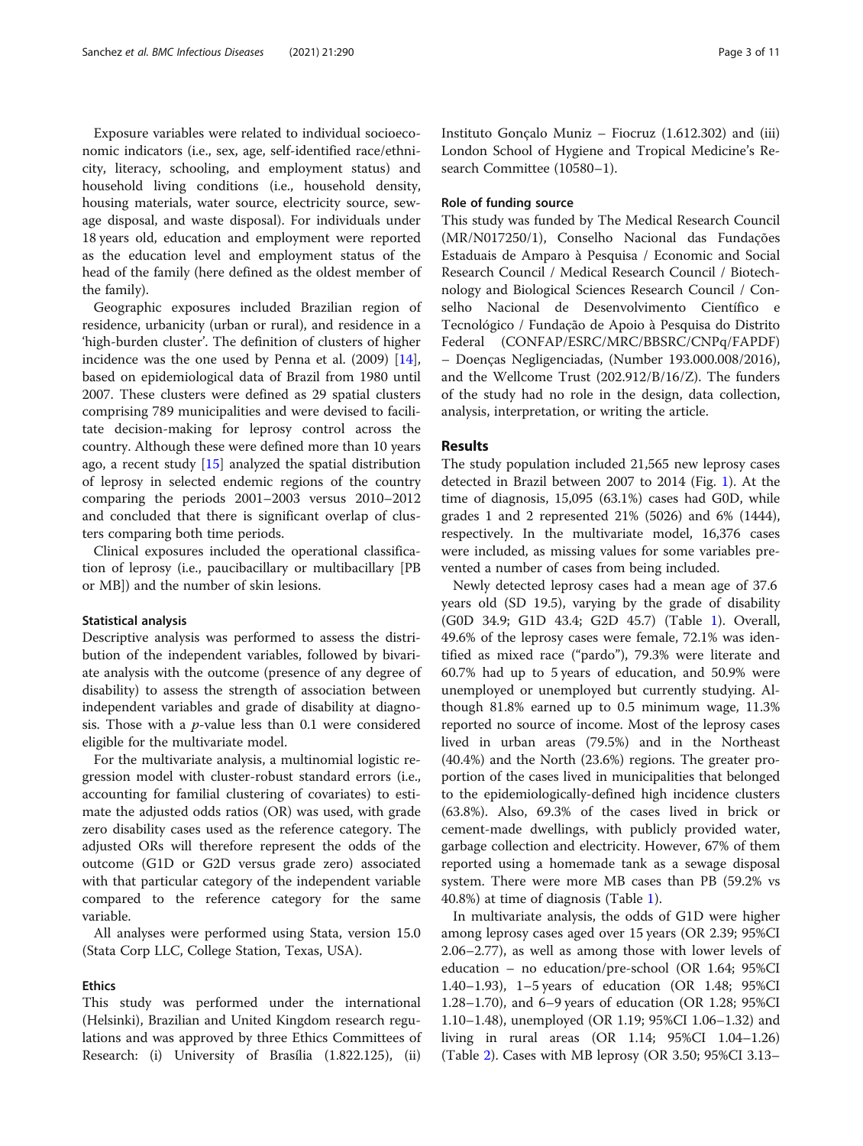Exposure variables were related to individual socioeconomic indicators (i.e., sex, age, self-identified race/ethnicity, literacy, schooling, and employment status) and household living conditions (i.e., household density, housing materials, water source, electricity source, sewage disposal, and waste disposal). For individuals under 18 years old, education and employment were reported as the education level and employment status of the head of the family (here defined as the oldest member of the family).

Geographic exposures included Brazilian region of residence, urbanicity (urban or rural), and residence in a 'high-burden cluster'. The definition of clusters of higher incidence was the one used by Penna et al. (2009) [\[14](#page-10-0)], based on epidemiological data of Brazil from 1980 until 2007. These clusters were defined as 29 spatial clusters comprising 789 municipalities and were devised to facilitate decision-making for leprosy control across the country. Although these were defined more than 10 years ago, a recent study  $[15]$  $[15]$  analyzed the spatial distribution of leprosy in selected endemic regions of the country comparing the periods 2001–2003 versus 2010–2012 and concluded that there is significant overlap of clusters comparing both time periods.

Clinical exposures included the operational classification of leprosy (i.e., paucibacillary or multibacillary [PB or MB]) and the number of skin lesions.

#### Statistical analysis

Descriptive analysis was performed to assess the distribution of the independent variables, followed by bivariate analysis with the outcome (presence of any degree of disability) to assess the strength of association between independent variables and grade of disability at diagnosis. Those with a  $p$ -value less than 0.1 were considered eligible for the multivariate model.

For the multivariate analysis, a multinomial logistic regression model with cluster-robust standard errors (i.e., accounting for familial clustering of covariates) to estimate the adjusted odds ratios (OR) was used, with grade zero disability cases used as the reference category. The adjusted ORs will therefore represent the odds of the outcome (G1D or G2D versus grade zero) associated with that particular category of the independent variable compared to the reference category for the same variable.

All analyses were performed using Stata, version 15.0 (Stata Corp LLC, College Station, Texas, USA).

# Ethics

This study was performed under the international (Helsinki), Brazilian and United Kingdom research regulations and was approved by three Ethics Committees of Research: (i) University of Brasília (1.822.125), (ii)

Instituto Gonçalo Muniz – Fiocruz (1.612.302) and (iii) London School of Hygiene and Tropical Medicine's Research Committee (10580–1).

# Role of funding source

This study was funded by The Medical Research Council (MR/N017250/1), Conselho Nacional das Fundações Estaduais de Amparo à Pesquisa / Economic and Social Research Council / Medical Research Council / Biotechnology and Biological Sciences Research Council / Conselho Nacional de Desenvolvimento Científico e Tecnológico / Fundação de Apoio à Pesquisa do Distrito Federal (CONFAP/ESRC/MRC/BBSRC/CNPq/FAPDF) – Doenças Negligenciadas, (Number 193.000.008/2016), and the Wellcome Trust (202.912/B/16/Z). The funders of the study had no role in the design, data collection, analysis, interpretation, or writing the article.

# Results

The study population included 21,565 new leprosy cases detected in Brazil between 2007 to 2014 (Fig. [1](#page-3-0)). At the time of diagnosis, 15,095 (63.1%) cases had G0D, while grades 1 and 2 represented 21% (5026) and 6% (1444), respectively. In the multivariate model, 16,376 cases were included, as missing values for some variables prevented a number of cases from being included.

Newly detected leprosy cases had a mean age of 37.6 years old (SD 19.5), varying by the grade of disability (G0D 34.9; G1D 43.4; G2D 45.7) (Table [1\)](#page-4-0). Overall, 49.6% of the leprosy cases were female, 72.1% was identified as mixed race ("pardo"), 79.3% were literate and 60.7% had up to 5 years of education, and 50.9% were unemployed or unemployed but currently studying. Although 81.8% earned up to 0.5 minimum wage, 11.3% reported no source of income. Most of the leprosy cases lived in urban areas (79.5%) and in the Northeast (40.4%) and the North (23.6%) regions. The greater proportion of the cases lived in municipalities that belonged to the epidemiologically-defined high incidence clusters (63.8%). Also, 69.3% of the cases lived in brick or cement-made dwellings, with publicly provided water, garbage collection and electricity. However, 67% of them reported using a homemade tank as a sewage disposal system. There were more MB cases than PB (59.2% vs 40.8%) at time of diagnosis (Table [1\)](#page-4-0).

In multivariate analysis, the odds of G1D were higher among leprosy cases aged over 15 years (OR 2.39; 95%CI 2.06–2.77), as well as among those with lower levels of education – no education/pre-school (OR 1.64; 95%CI 1.40–1.93), 1–5 years of education (OR 1.48; 95%CI 1.28–1.70), and 6–9 years of education (OR 1.28; 95%CI 1.10–1.48), unemployed (OR 1.19; 95%CI 1.06–1.32) and living in rural areas (OR 1.14; 95%CI 1.04–1.26) (Table [2\)](#page-7-0). Cases with MB leprosy (OR 3.50; 95%CI 3.13–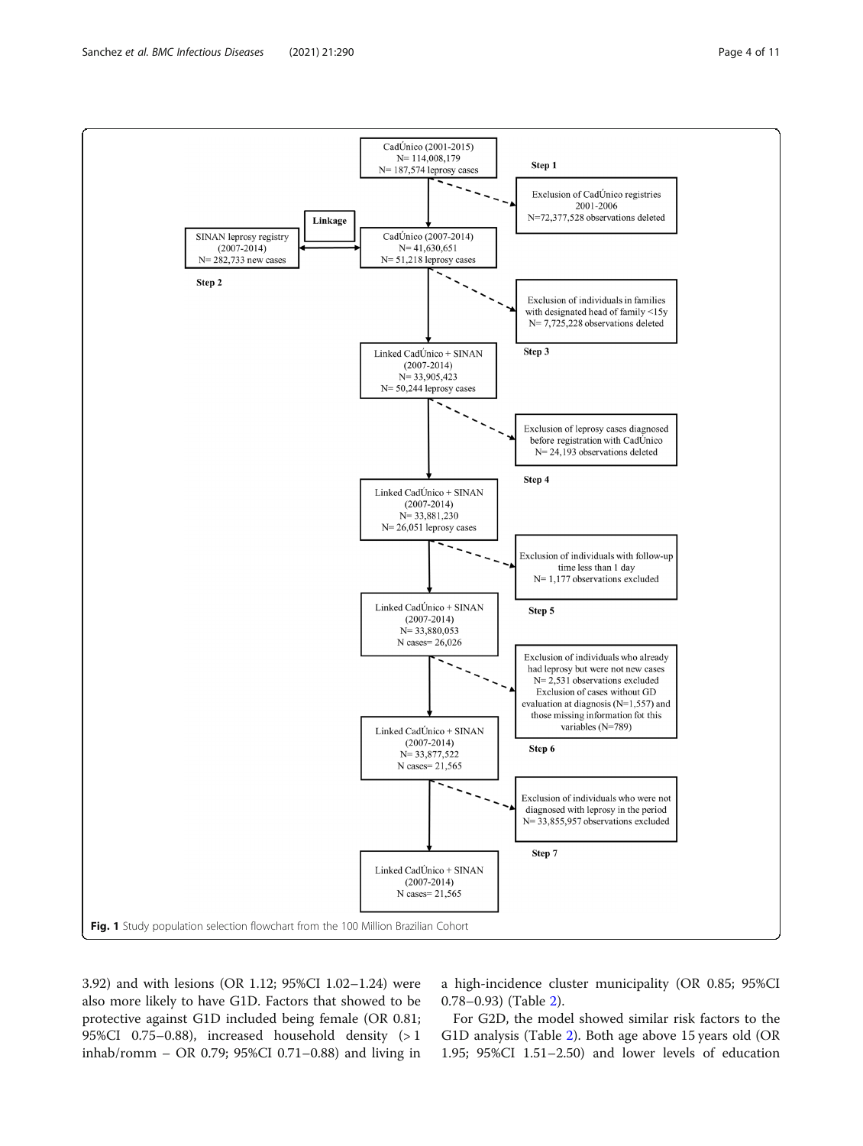<span id="page-3-0"></span>

3.92) and with lesions (OR 1.12; 95%CI 1.02–1.24) were also more likely to have G1D. Factors that showed to be protective against G1D included being female (OR 0.81; 95%CI 0.75–0.88), increased household density (> 1 inhab/romm – OR 0.79; 95%CI 0.71–0.88) and living in a high-incidence cluster municipality (OR 0.85; 95%CI 0.78–0.93) (Table [2\)](#page-7-0).

For G2D, the model showed similar risk factors to the G1D analysis (Table [2\)](#page-7-0). Both age above 15 years old (OR 1.95; 95%CI 1.51–2.50) and lower levels of education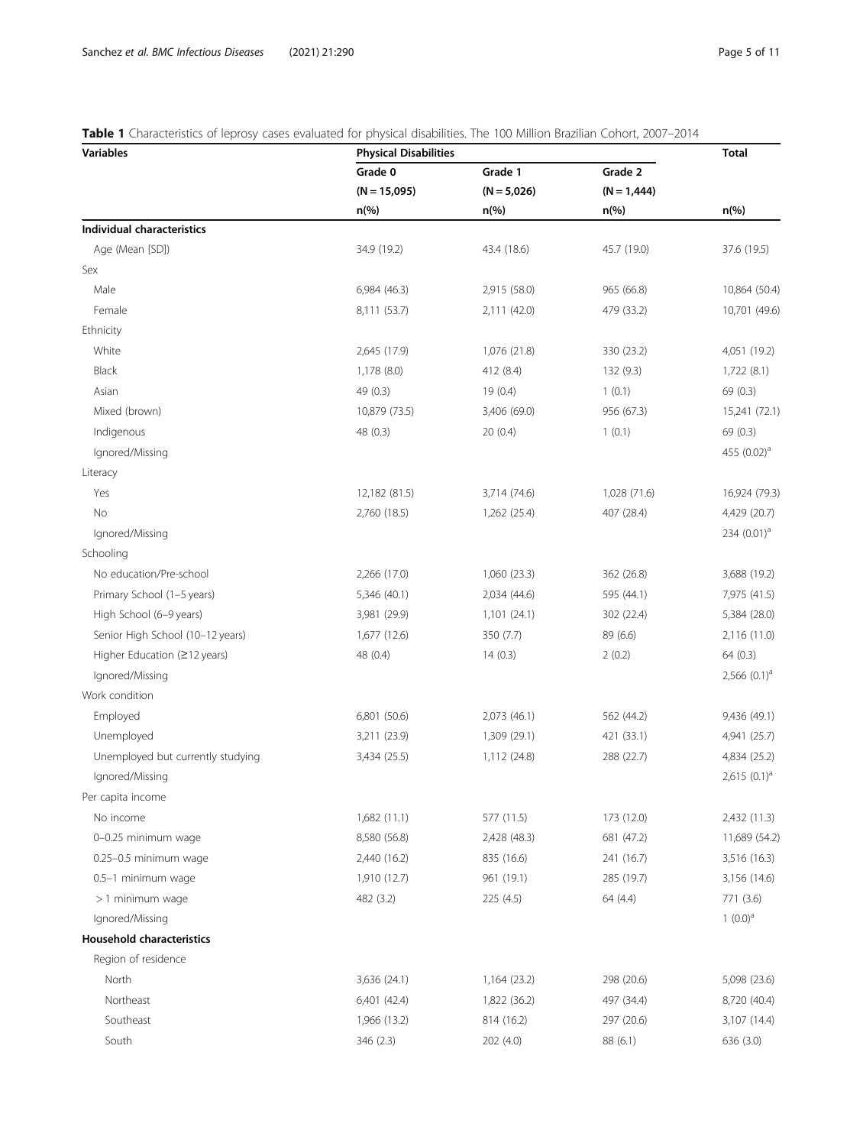# <span id="page-4-0"></span>Table 1 Characteristics of leprosy cases evaluated for physical disabilities. The 100 Million Brazilian Cohort, 2007-2014

| <b>Variables</b>                  | <b>Physical Disabilities</b>         |                                     |                                     | <b>Total</b>        |
|-----------------------------------|--------------------------------------|-------------------------------------|-------------------------------------|---------------------|
|                                   | Grade 0<br>$(N = 15,095)$<br>$n$ (%) | Grade 1<br>$(N = 5,026)$<br>$n$ (%) | Grade 2<br>$(N = 1,444)$<br>$n$ (%) |                     |
|                                   |                                      |                                     |                                     |                     |
|                                   |                                      |                                     |                                     | $n\frac{6}{6}$      |
| <b>Individual characteristics</b> |                                      |                                     |                                     |                     |
| Age (Mean [SD])                   | 34.9 (19.2)                          | 43.4 (18.6)                         | 45.7 (19.0)                         | 37.6 (19.5)         |
| Sex                               |                                      |                                     |                                     |                     |
| Male                              | 6,984 (46.3)                         | 2,915 (58.0)                        | 965 (66.8)                          | 10,864 (50.4)       |
| Female                            | 8,111 (53.7)                         | 2,111 (42.0)                        | 479 (33.2)                          | 10,701 (49.6)       |
| Ethnicity                         |                                      |                                     |                                     |                     |
| White                             | 2,645 (17.9)                         | 1,076 (21.8)                        | 330 (23.2)                          | 4,051 (19.2)        |
| <b>Black</b>                      | 1,178(8.0)                           | 412 (8.4)                           | 132 (9.3)                           | 1,722(8.1)          |
| Asian                             | 49 (0.3)                             | 19(0.4)                             | 1(0.1)                              | 69 (0.3)            |
| Mixed (brown)                     | 10,879 (73.5)                        | 3,406 (69.0)                        | 956 (67.3)                          | 15,241 (72.1)       |
| Indigenous                        | 48 (0.3)                             | 20(0.4)                             | 1(0.1)                              | 69 (0.3)            |
| Ignored/Missing                   |                                      |                                     |                                     | 455 $(0.02)^a$      |
| Literacy                          |                                      |                                     |                                     |                     |
| Yes                               | 12,182 (81.5)                        | 3,714 (74.6)                        | 1,028 (71.6)                        | 16,924 (79.3)       |
| No                                | 2,760 (18.5)                         | 1,262 (25.4)                        | 407 (28.4)                          | 4,429 (20.7)        |
| Ignored/Missing                   |                                      |                                     |                                     | 234 $(0.01)^a$      |
| Schooling                         |                                      |                                     |                                     |                     |
| No education/Pre-school           | 2,266 (17.0)                         | 1,060 (23.3)                        | 362 (26.8)                          | 3,688 (19.2)        |
| Primary School (1-5 years)        | 5,346 (40.1)                         | 2,034 (44.6)                        | 595 (44.1)                          | 7,975 (41.5)        |
| High School (6-9 years)           | 3,981 (29.9)                         | 1,101(24.1)                         | 302 (22.4)                          | 5,384 (28.0)        |
| Senior High School (10-12 years)  | 1,677 (12.6)                         | 350 (7.7)                           | 89 (6.6)                            | 2,116 (11.0)        |
| Higher Education (≥12 years)      | 48 (0.4)                             | 14(0.3)                             | 2(0.2)                              | 64(0.3)             |
| Ignored/Missing                   |                                      |                                     |                                     | 2,566 $(0.1)^a$     |
| Work condition                    |                                      |                                     |                                     |                     |
| Employed                          | 6,801 (50.6)                         | 2,073 (46.1)                        | 562 (44.2)                          | 9,436 (49.1)        |
| Unemployed                        | 3,211 (23.9)                         | 1,309 (29.1)                        | 421 (33.1)                          | 4,941 (25.7)        |
| Unemployed but currently studying | 3,434 (25.5)                         | 1,112 (24.8)                        | 288 (22.7)                          | 4,834 (25.2)        |
| Ignored/Missing                   |                                      |                                     |                                     | $2,615$ $(0.1)^{a}$ |
| Per capita income                 |                                      |                                     |                                     |                     |
| No income                         | 1,682 (11.1)                         | 577 (11.5)                          | 173 (12.0)                          | 2,432 (11.3)        |
| 0-0.25 minimum wage               | 8,580 (56.8)                         | 2,428 (48.3)                        | 681 (47.2)                          | 11,689 (54.2)       |
| 0.25-0.5 minimum wage             | 2,440 (16.2)                         | 835 (16.6)                          | 241 (16.7)                          | 3,516 (16.3)        |
| 0.5-1 minimum wage                | 1,910 (12.7)                         | 961 (19.1)                          | 285 (19.7)                          | 3,156 (14.6)        |
| > 1 minimum wage                  | 482 (3.2)                            | 225 (4.5)                           | 64 (4.4)                            | 771 (3.6)           |
| Ignored/Missing                   |                                      |                                     |                                     | $1(0.0)^a$          |
| <b>Household characteristics</b>  |                                      |                                     |                                     |                     |
| Region of residence               |                                      |                                     |                                     |                     |
| North                             | 3,636 (24.1)                         | 1,164 (23.2)                        | 298 (20.6)                          | 5,098 (23.6)        |
| Northeast                         | 6,401 (42.4)                         | 1,822 (36.2)                        | 497 (34.4)                          | 8,720 (40.4)        |
| Southeast                         | 1,966 (13.2)                         | 814 (16.2)                          | 297 (20.6)                          | 3,107 (14.4)        |
| South                             | 346 (2.3)                            | 202 (4.0)                           | 88 (6.1)                            | 636 (3.0)           |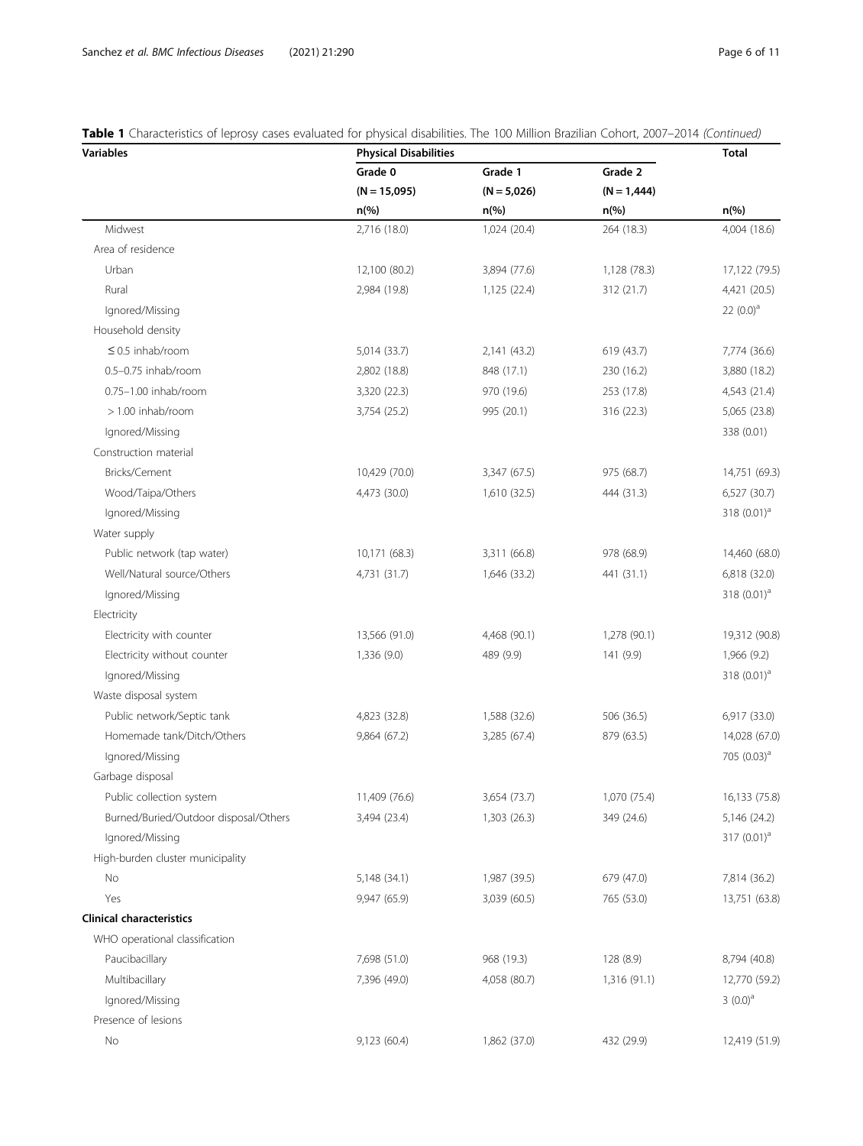# Table 1 Characteristics of leprosy cases evaluated for physical disabilities. The 100 Million Brazilian Cohort, 2007-2014 (Continued)

| <b>Variables</b>                      | <b>Physical Disabilities</b>         | <b>Total</b>             |                          |                         |
|---------------------------------------|--------------------------------------|--------------------------|--------------------------|-------------------------|
|                                       | Grade 0<br>$(N = 15,095)$<br>$n$ (%) | Grade 1<br>$(N = 5,026)$ | Grade 2<br>$(N = 1,444)$ |                         |
|                                       |                                      |                          |                          |                         |
| Midwest                               |                                      | 2,716 (18.0)             | 1,024 (20.4)             | 264 (18.3)              |
| Area of residence                     |                                      |                          |                          |                         |
| Urban                                 | 12,100 (80.2)                        | 3,894 (77.6)             | 1,128 (78.3)             | 17,122 (79.5)           |
| Rural                                 | 2,984 (19.8)                         | 1,125 (22.4)             | 312 (21.7)               | 4,421 (20.5)            |
| Ignored/Missing                       |                                      |                          |                          | 22 $(0.0)^a$            |
| Household density                     |                                      |                          |                          |                         |
| $\leq$ 0.5 inhab/room                 | 5,014 (33.7)                         | 2,141 (43.2)             | 619 (43.7)               | 7,774 (36.6)            |
| 0.5-0.75 inhab/room                   | 2,802 (18.8)                         | 848 (17.1)               | 230 (16.2)               | 3,880 (18.2)            |
| 0.75-1.00 inhab/room                  | 3,320 (22.3)                         | 970 (19.6)               | 253 (17.8)               | 4,543 (21.4)            |
| $> 1.00$ inhab/room                   | 3,754 (25.2)                         | 995 (20.1)               | 316 (22.3)               | 5,065 (23.8)            |
| Ignored/Missing                       |                                      |                          |                          | 338 (0.01)              |
| Construction material                 |                                      |                          |                          |                         |
| Bricks/Cement                         | 10,429 (70.0)                        | 3,347 (67.5)             | 975 (68.7)               | 14,751 (69.3)           |
| Wood/Taipa/Others                     | 4,473 (30.0)                         | 1,610 (32.5)             | 444 (31.3)               | 6,527 (30.7)            |
| Ignored/Missing                       |                                      |                          |                          | 318 $(0.01)^a$          |
| Water supply                          |                                      |                          |                          |                         |
| Public network (tap water)            | 10,171 (68.3)                        | 3,311 (66.8)             | 978 (68.9)               | 14,460 (68.0)           |
| Well/Natural source/Others            | 4,731 (31.7)                         | 1,646 (33.2)             | 441 (31.1)               | 6,818 (32.0)            |
| Ignored/Missing                       |                                      |                          |                          | 318 $(0.01)^a$          |
| Electricity                           |                                      |                          |                          |                         |
| Electricity with counter              | 13,566 (91.0)                        | 4,468 (90.1)             | 1,278 (90.1)             | 19,312 (90.8)           |
| Electricity without counter           | 1,336 (9.0)                          | 489 (9.9)                | 141 (9.9)                | 1,966 (9.2)             |
| Ignored/Missing                       |                                      |                          |                          | 318 $(0.01)^a$          |
| Waste disposal system                 |                                      |                          |                          |                         |
| Public network/Septic tank            | 4,823 (32.8)                         | 1,588 (32.6)             | 506 (36.5)               | 6,917 (33.0)            |
| Homemade tank/Ditch/Others            | 9,864 (67.2)                         | 3,285 (67.4)             | 879 (63.5)               | 14,028 (67.0)           |
| Ignored/Missing                       |                                      |                          |                          | 705 (0.03) <sup>a</sup> |
| Garbage disposal                      |                                      |                          |                          |                         |
| Public collection system              | 11,409 (76.6)                        | 3,654 (73.7)             | 1,070 (75.4)             | 16,133 (75.8)           |
| Burned/Buried/Outdoor disposal/Others | 3,494 (23.4)                         | 1,303 (26.3)             | 349 (24.6)               | 5,146 (24.2)            |
| Ignored/Missing                       |                                      |                          |                          | 317 $(0.01)^a$          |
| High-burden cluster municipality      |                                      |                          |                          |                         |
| No                                    | 5,148 (34.1)                         | 1,987 (39.5)             | 679 (47.0)               | 7,814 (36.2)            |
| Yes                                   | 9,947 (65.9)                         | 3,039 (60.5)             | 765 (53.0)               | 13,751 (63.8)           |
| <b>Clinical characteristics</b>       |                                      |                          |                          |                         |
| WHO operational classification        |                                      |                          |                          |                         |
| Paucibacillary                        | 7,698 (51.0)                         | 968 (19.3)               | 128 (8.9)                | 8,794 (40.8)            |
| Multibacillary                        | 7,396 (49.0)                         | 4,058 (80.7)             | 1,316 (91.1)             | 12,770 (59.2)           |
| Ignored/Missing                       |                                      |                          |                          | $3(0.0)^a$              |
| Presence of lesions                   |                                      |                          |                          |                         |
| No                                    | 9,123 (60.4)                         | 1,862 (37.0)             | 432 (29.9)               | 12,419 (51.9)           |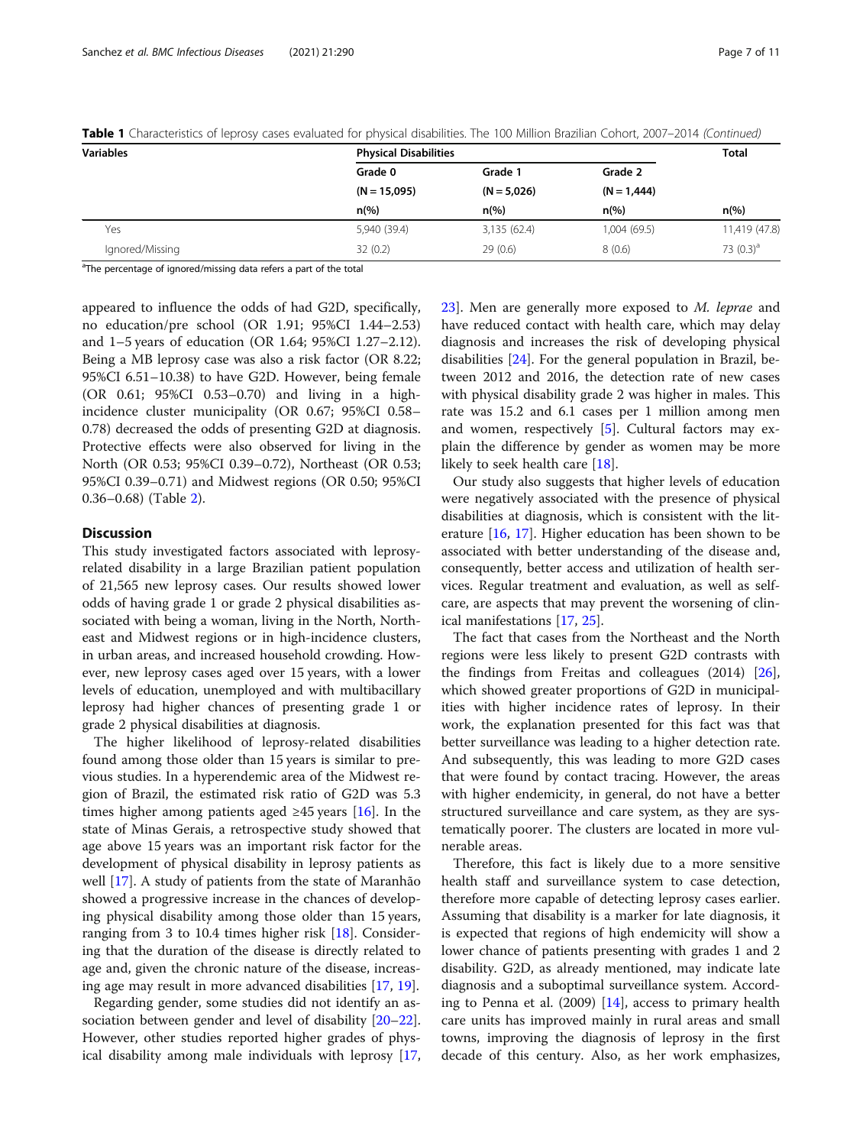| <b>Variables</b> | <b>Physical Disabilities</b>                |                                            |                                            | <b>Total</b>   |                 |              |              |             |               |
|------------------|---------------------------------------------|--------------------------------------------|--------------------------------------------|----------------|-----------------|--------------|--------------|-------------|---------------|
|                  | Grade 0<br>$(N = 15,095)$<br>$n\frac{9}{6}$ | Grade 1<br>$(N = 5,026)$<br>$n\frac{9}{6}$ | Grade 2<br>$(N = 1,444)$<br>$n\frac{9}{6}$ | $n\frac{6}{6}$ |                 |              |              |             |               |
|                  |                                             |                                            |                                            |                | Yes             | 5,940 (39.4) | 3,135 (62.4) | 1,004(69.5) | 11,419 (47.8) |
|                  |                                             |                                            |                                            |                | Ignored/Missing | 32(0.2)      | 29(0.6)      | 8(0.6)      | 73 $(0.3)^a$  |

Table 1 Characteristics of leprosy cases evaluated for physical disabilities. The 100 Million Brazilian Cohort, 2007–2014 (Continued)

<sup>a</sup>The percentage of ignored/missing data refers a part of the total

appeared to influence the odds of had G2D, specifically, no education/pre school (OR 1.91; 95%CI 1.44–2.53) and 1–5 years of education (OR 1.64; 95%CI 1.27–2.12). Being a MB leprosy case was also a risk factor (OR 8.22; 95%CI 6.51–10.38) to have G2D. However, being female (OR 0.61; 95%CI 0.53–0.70) and living in a highincidence cluster municipality (OR 0.67; 95%CI 0.58– 0.78) decreased the odds of presenting G2D at diagnosis. Protective effects were also observed for living in the North (OR 0.53; 95%CI 0.39–0.72), Northeast (OR 0.53; 95%CI 0.39–0.71) and Midwest regions (OR 0.50; 95%CI 0.36–0.68) (Table [2\)](#page-7-0).

# **Discussion**

This study investigated factors associated with leprosyrelated disability in a large Brazilian patient population of 21,565 new leprosy cases. Our results showed lower odds of having grade 1 or grade 2 physical disabilities associated with being a woman, living in the North, Northeast and Midwest regions or in high-incidence clusters, in urban areas, and increased household crowding. However, new leprosy cases aged over 15 years, with a lower levels of education, unemployed and with multibacillary leprosy had higher chances of presenting grade 1 or grade 2 physical disabilities at diagnosis.

The higher likelihood of leprosy-related disabilities found among those older than 15 years is similar to previous studies. In a hyperendemic area of the Midwest region of Brazil, the estimated risk ratio of G2D was 5.3 times higher among patients aged  $\geq$ 45 years [[16](#page-10-0)]. In the state of Minas Gerais, a retrospective study showed that age above 15 years was an important risk factor for the development of physical disability in leprosy patients as well [\[17\]](#page-10-0). A study of patients from the state of Maranhão showed a progressive increase in the chances of developing physical disability among those older than 15 years, ranging from 3 to 10.4 times higher risk [[18](#page-10-0)]. Considering that the duration of the disease is directly related to age and, given the chronic nature of the disease, increasing age may result in more advanced disabilities [\[17](#page-10-0), [19](#page-10-0)].

Regarding gender, some studies did not identify an association between gender and level of disability [[20](#page-10-0)–[22](#page-10-0)]. However, other studies reported higher grades of physical disability among male individuals with leprosy [[17](#page-10-0), [23\]](#page-10-0). Men are generally more exposed to M. leprae and have reduced contact with health care, which may delay diagnosis and increases the risk of developing physical disabilities [[24\]](#page-10-0). For the general population in Brazil, between 2012 and 2016, the detection rate of new cases with physical disability grade 2 was higher in males. This rate was 15.2 and 6.1 cases per 1 million among men and women, respectively [\[5](#page-9-0)]. Cultural factors may explain the difference by gender as women may be more likely to seek health care [[18\]](#page-10-0).

Our study also suggests that higher levels of education were negatively associated with the presence of physical disabilities at diagnosis, which is consistent with the literature [\[16](#page-10-0), [17](#page-10-0)]. Higher education has been shown to be associated with better understanding of the disease and, consequently, better access and utilization of health services. Regular treatment and evaluation, as well as selfcare, are aspects that may prevent the worsening of clinical manifestations [[17,](#page-10-0) [25\]](#page-10-0).

The fact that cases from the Northeast and the North regions were less likely to present G2D contrasts with the findings from Freitas and colleagues (2014) [\[26](#page-10-0)], which showed greater proportions of G2D in municipalities with higher incidence rates of leprosy. In their work, the explanation presented for this fact was that better surveillance was leading to a higher detection rate. And subsequently, this was leading to more G2D cases that were found by contact tracing. However, the areas with higher endemicity, in general, do not have a better structured surveillance and care system, as they are systematically poorer. The clusters are located in more vulnerable areas.

Therefore, this fact is likely due to a more sensitive health staff and surveillance system to case detection, therefore more capable of detecting leprosy cases earlier. Assuming that disability is a marker for late diagnosis, it is expected that regions of high endemicity will show a lower chance of patients presenting with grades 1 and 2 disability. G2D, as already mentioned, may indicate late diagnosis and a suboptimal surveillance system. According to Penna et al. (2009) [\[14](#page-10-0)], access to primary health care units has improved mainly in rural areas and small towns, improving the diagnosis of leprosy in the first decade of this century. Also, as her work emphasizes,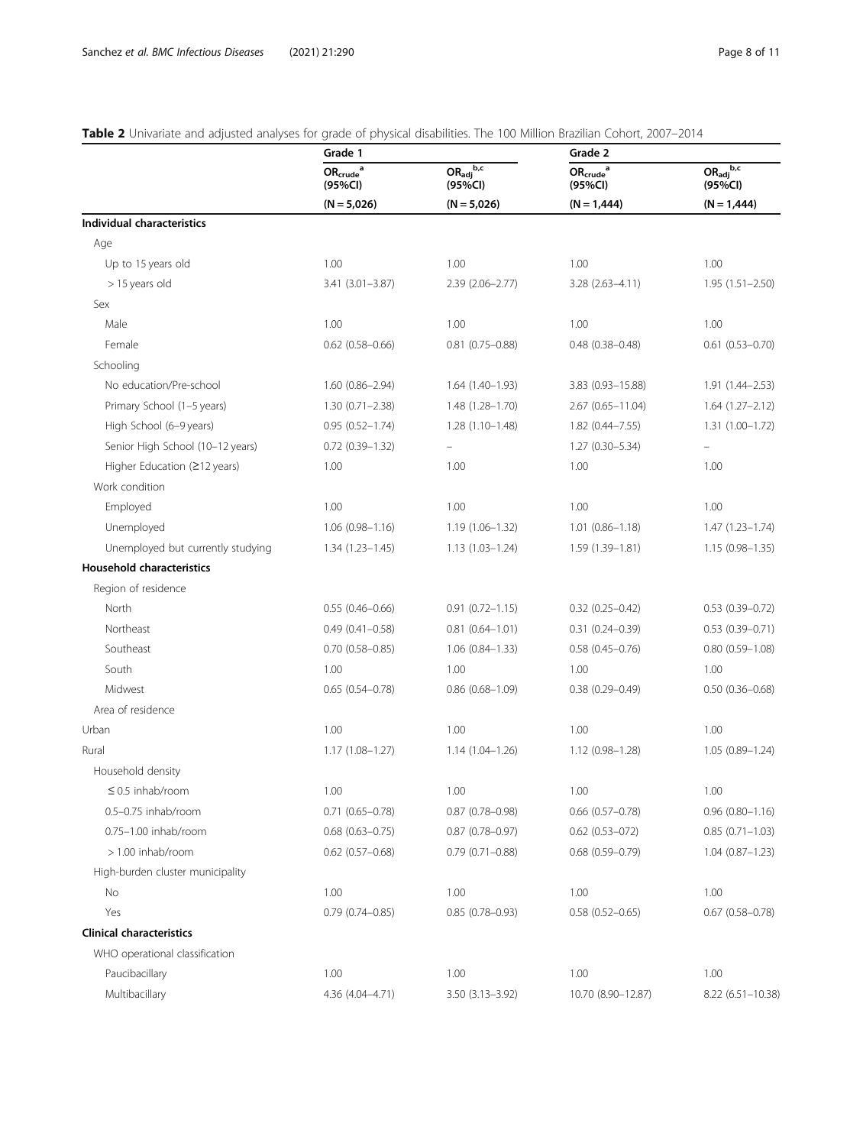# <span id="page-7-0"></span>Table 2 Univariate and adjusted analyses for grade of physical disabilities. The 100 Million Brazilian Cohort, 2007-2014

|                                   | Grade 1                                                        |                                                            | Grade 2                                       |                                           |
|-----------------------------------|----------------------------------------------------------------|------------------------------------------------------------|-----------------------------------------------|-------------------------------------------|
|                                   | $\mathsf{OR}_{\mathsf{crude}}^{a}$<br>(95%Cl)<br>$(N = 5,026)$ | $OR_{\text{adj}}^{\text{b,c}}$<br>(95%CI)<br>$(N = 5,026)$ | $\mathsf{OR}_{\mathsf{crude}}^{a}$<br>(95%CI) | $OR_{\text{adj}}^{\text{b,c}}$<br>(95%Cl) |
|                                   |                                                                |                                                            | $(N = 1,444)$                                 | $(N = 1,444)$                             |
| <b>Individual characteristics</b> |                                                                |                                                            |                                               |                                           |
| Age                               |                                                                |                                                            |                                               |                                           |
| Up to 15 years old                | 1.00                                                           | 1.00                                                       | 1.00                                          | 1.00                                      |
| > 15 years old                    | $3.41(3.01 - 3.87)$                                            | 2.39 (2.06-2.77)                                           | $3.28(2.63 - 4.11)$                           | $1.95(1.51 - 2.50)$                       |
| Sex                               |                                                                |                                                            |                                               |                                           |
| Male                              | 1.00                                                           | 1.00                                                       | 1.00                                          | 1.00                                      |
| Female                            | $0.62$ (0.58-0.66)                                             | $0.81$ (0.75-0.88)                                         | $0.48(0.38 - 0.48)$                           | $0.61$ $(0.53 - 0.70)$                    |
| Schooling                         |                                                                |                                                            |                                               |                                           |
| No education/Pre-school           | $1.60(0.86 - 2.94)$                                            | $1.64(1.40-1.93)$                                          | 3.83 (0.93-15.88)                             | $1.91(1.44 - 2.53)$                       |
| Primary School (1-5 years)        | $1.30(0.71 - 2.38)$                                            | 1.48 (1.28-1.70)                                           | $2.67(0.65 - 11.04)$                          | $1.64(1.27 - 2.12)$                       |
| High School (6-9 years)           | $0.95(0.52 - 1.74)$                                            | $1.28(1.10-1.48)$                                          | $1.82$ (0.44-7.55)                            | 1.31 (1.00-1.72)                          |
| Senior High School (10-12 years)  | $0.72$ $(0.39 - 1.32)$                                         |                                                            | $1.27(0.30 - 5.34)$                           |                                           |
| Higher Education (≥12 years)      | 1.00                                                           | 1.00                                                       | 1.00                                          | 1.00                                      |
| Work condition                    |                                                                |                                                            |                                               |                                           |
| Employed                          | 1.00                                                           | 1.00                                                       | 1.00                                          | 1.00                                      |
| Unemployed                        | $1.06(0.98 - 1.16)$                                            | 1.19 (1.06-1.32)                                           | $1.01(0.86 - 1.18)$                           | $1.47(1.23 - 1.74)$                       |
| Unemployed but currently studying | $1.34(1.23 - 1.45)$                                            | $1.13(1.03 - 1.24)$                                        | $1.59(1.39 - 1.81)$                           | $1.15(0.98 - 1.35)$                       |
| <b>Household characteristics</b>  |                                                                |                                                            |                                               |                                           |
| Region of residence               |                                                                |                                                            |                                               |                                           |
| North                             | $0.55(0.46 - 0.66)$                                            | $0.91(0.72 - 1.15)$                                        | $0.32$ $(0.25 - 0.42)$                        | $0.53(0.39 - 0.72)$                       |
| Northeast                         | $0.49(0.41 - 0.58)$                                            | $0.81(0.64 - 1.01)$                                        | $0.31(0.24 - 0.39)$                           | $0.53(0.39 - 0.71)$                       |
| Southeast                         | $0.70$ $(0.58 - 0.85)$                                         | $1.06(0.84 - 1.33)$                                        | $0.58(0.45 - 0.76)$                           | $0.80(0.59 - 1.08)$                       |
| South                             | 1.00                                                           | 1.00                                                       | 1.00                                          | 1.00                                      |
| Midwest                           | $0.65(0.54 - 0.78)$                                            | $0.86$ $(0.68 - 1.09)$                                     | $0.38(0.29 - 0.49)$                           | $0.50(0.36 - 0.68)$                       |
| Area of residence                 |                                                                |                                                            |                                               |                                           |
| Urban                             | 1.00                                                           | 1.00                                                       | 1.00                                          | 1.00                                      |
| Rural                             | $1.17(1.08 - 1.27)$                                            | $1.14(1.04 - 1.26)$                                        | 1.12 (0.98-1.28)                              | $1.05(0.89 - 1.24)$                       |
| Household density                 |                                                                |                                                            |                                               |                                           |
| $\leq$ 0.5 inhab/room             | 1.00                                                           | 1.00                                                       | 1.00                                          | 1.00                                      |
| 0.5-0.75 inhab/room               | $0.71(0.65 - 0.78)$                                            | $0.87(0.78 - 0.98)$                                        | $0.66$ $(0.57 - 0.78)$                        | $0.96(0.80 - 1.16)$                       |
| 0.75-1.00 inhab/room              | $0.68$ $(0.63 - 0.75)$                                         | $0.87(0.78 - 0.97)$                                        | $0.62$ $(0.53 - 072)$                         | $0.85(0.71 - 1.03)$                       |
| $> 1.00$ inhab/room               | $0.62$ $(0.57 - 0.68)$                                         | $0.79(0.71 - 0.88)$                                        | $0.68(0.59 - 0.79)$                           | $1.04(0.87 - 1.23)$                       |
| High-burden cluster municipality  |                                                                |                                                            |                                               |                                           |
| No                                | 1.00                                                           | 1.00                                                       | 1.00                                          | 1.00                                      |
| Yes                               | $0.79(0.74 - 0.85)$                                            | $0.85(0.78 - 0.93)$                                        | $0.58(0.52 - 0.65)$                           | $0.67(0.58 - 0.78)$                       |
| <b>Clinical characteristics</b>   |                                                                |                                                            |                                               |                                           |
| WHO operational classification    |                                                                |                                                            |                                               |                                           |
| Paucibacillary                    | 1.00                                                           | 1.00                                                       | 1.00                                          | 1.00                                      |
| Multibacillary                    | 4.36 (4.04-4.71)                                               | 3.50 (3.13-3.92)                                           | 10.70 (8.90-12.87)                            | $8.22(6.51 - 10.38)$                      |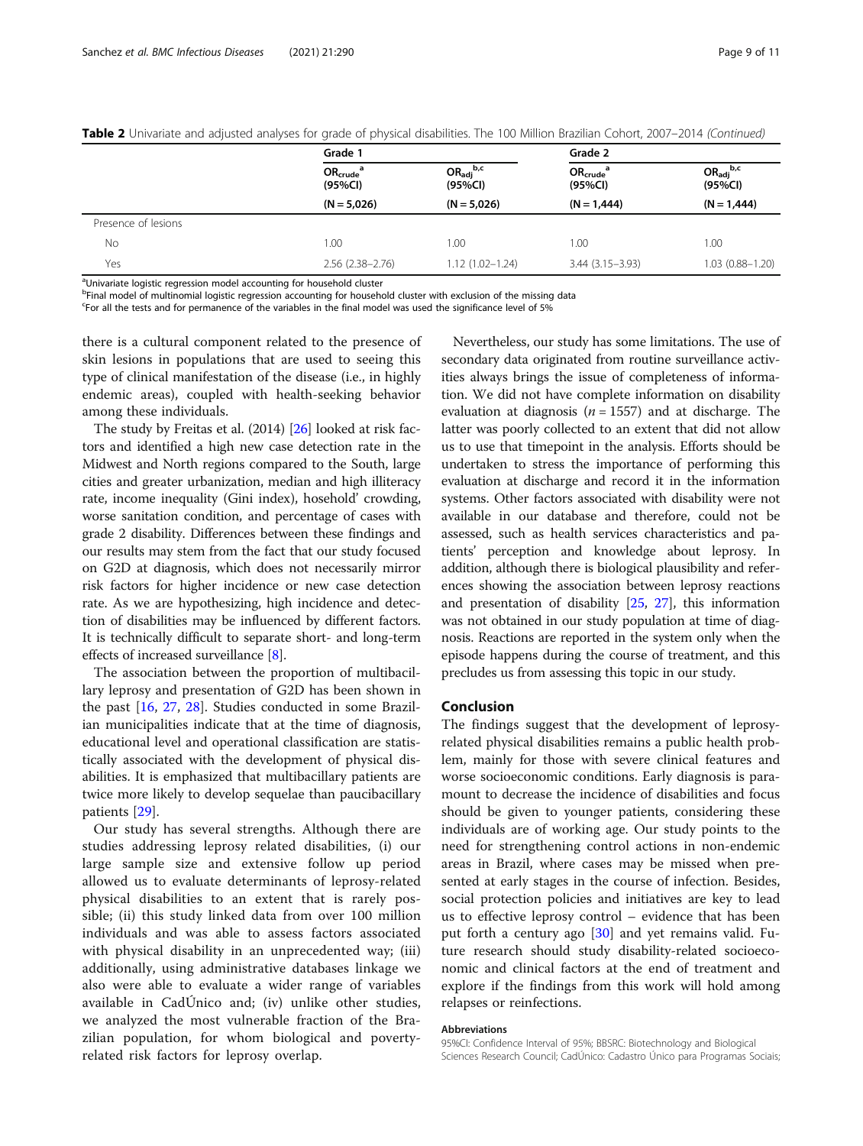|                     | Grade 1                   |                                           | Grade 2                   |                                           |
|---------------------|---------------------------|-------------------------------------------|---------------------------|-------------------------------------------|
|                     | $OR_{crude}^a$<br>(95%CI) | $OR_{\text{adj}}^{\text{b,c}}$<br>(95%Cl) | $OR_{crude}^a$<br>(95%CI) | $OR_{\text{adj}}^{\text{b,c}}$<br>(95%CI) |
|                     | $(N = 5,026)$             | $(N = 5,026)$                             | $(N = 1,444)$             | $(N = 1,444)$                             |
| Presence of lesions |                           |                                           |                           |                                           |
| No                  | 1.00                      | 1.00                                      | 1.00                      | 1.00                                      |
| Yes                 | $2.56(2.38 - 2.76)$       | $1.12(1.02 - 1.24)$                       | $3.44(3.15 - 3.93)$       | $1.03(0.88 - 1.20)$                       |

Table 2 Univariate and adjusted analyses for grade of physical disabilities. The 100 Million Brazilian Cohort, 2007–2014 (Continued)

<sup>a</sup>Univariate logistic regression model accounting for household cluster

b Final model of multinomial logistic regression accounting for household cluster with exclusion of the missing data

<sup>c</sup>For all the tests and for permanence of the variables in the final model was used the significance level of 5%

there is a cultural component related to the presence of skin lesions in populations that are used to seeing this type of clinical manifestation of the disease (i.e., in highly endemic areas), coupled with health-seeking behavior among these individuals.

The study by Freitas et al. (2014) [[26](#page-10-0)] looked at risk factors and identified a high new case detection rate in the Midwest and North regions compared to the South, large cities and greater urbanization, median and high illiteracy rate, income inequality (Gini index), hosehold' crowding, worse sanitation condition, and percentage of cases with grade 2 disability. Differences between these findings and our results may stem from the fact that our study focused on G2D at diagnosis, which does not necessarily mirror risk factors for higher incidence or new case detection rate. As we are hypothesizing, high incidence and detection of disabilities may be influenced by different factors. It is technically difficult to separate short- and long-term effects of increased surveillance [[8\]](#page-9-0).

The association between the proportion of multibacillary leprosy and presentation of G2D has been shown in the past [[16,](#page-10-0) [27](#page-10-0), [28](#page-10-0)]. Studies conducted in some Brazilian municipalities indicate that at the time of diagnosis, educational level and operational classification are statistically associated with the development of physical disabilities. It is emphasized that multibacillary patients are twice more likely to develop sequelae than paucibacillary patients [[29\]](#page-10-0).

Our study has several strengths. Although there are studies addressing leprosy related disabilities, (i) our large sample size and extensive follow up period allowed us to evaluate determinants of leprosy-related physical disabilities to an extent that is rarely possible; (ii) this study linked data from over 100 million individuals and was able to assess factors associated with physical disability in an unprecedented way; (iii) additionally, using administrative databases linkage we also were able to evaluate a wider range of variables available in CadÚnico and; (iv) unlike other studies, we analyzed the most vulnerable fraction of the Brazilian population, for whom biological and povertyrelated risk factors for leprosy overlap.

Nevertheless, our study has some limitations. The use of secondary data originated from routine surveillance activities always brings the issue of completeness of information. We did not have complete information on disability evaluation at diagnosis ( $n = 1557$ ) and at discharge. The latter was poorly collected to an extent that did not allow us to use that timepoint in the analysis. Efforts should be undertaken to stress the importance of performing this evaluation at discharge and record it in the information systems. Other factors associated with disability were not available in our database and therefore, could not be assessed, such as health services characteristics and patients' perception and knowledge about leprosy. In addition, although there is biological plausibility and references showing the association between leprosy reactions and presentation of disability [\[25,](#page-10-0) [27](#page-10-0)], this information was not obtained in our study population at time of diagnosis. Reactions are reported in the system only when the episode happens during the course of treatment, and this precludes us from assessing this topic in our study.

# Conclusion

The findings suggest that the development of leprosyrelated physical disabilities remains a public health problem, mainly for those with severe clinical features and worse socioeconomic conditions. Early diagnosis is paramount to decrease the incidence of disabilities and focus should be given to younger patients, considering these individuals are of working age. Our study points to the need for strengthening control actions in non-endemic areas in Brazil, where cases may be missed when presented at early stages in the course of infection. Besides, social protection policies and initiatives are key to lead us to effective leprosy control – evidence that has been put forth a century ago [[30\]](#page-10-0) and yet remains valid. Future research should study disability-related socioeconomic and clinical factors at the end of treatment and explore if the findings from this work will hold among relapses or reinfections.

#### Abbreviations

95%CI: Confidence Interval of 95%; BBSRC: Biotechnology and Biological Sciences Research Council; CadÚnico: Cadastro Único para Programas Sociais;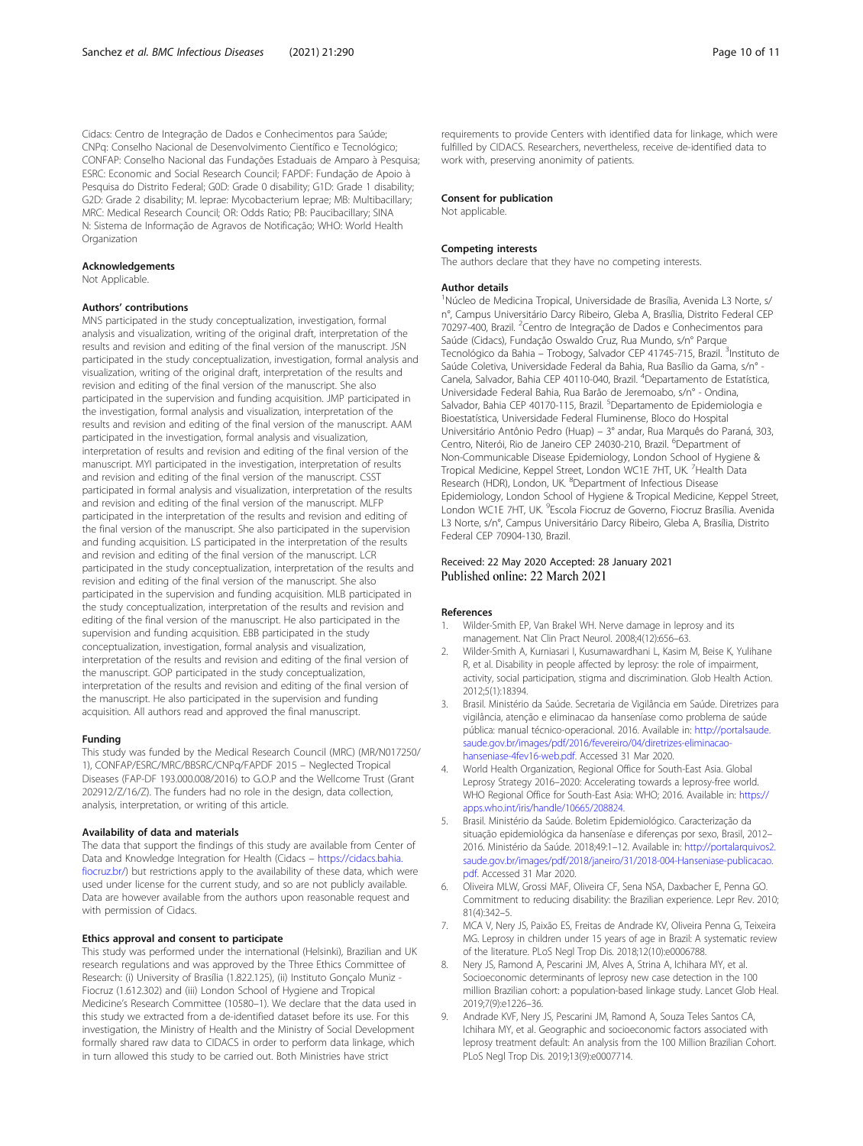<span id="page-9-0"></span>Cidacs: Centro de Integração de Dados e Conhecimentos para Saúde; CNPq: Conselho Nacional de Desenvolvimento Científico e Tecnológico; CONFAP: Conselho Nacional das Fundações Estaduais de Amparo à Pesquisa; ESRC: Economic and Social Research Council; FAPDF: Fundação de Apoio à Pesquisa do Distrito Federal; G0D: Grade 0 disability; G1D: Grade 1 disability; G2D: Grade 2 disability; M. leprae: Mycobacterium leprae; MB: Multibacillary; MRC: Medical Research Council; OR: Odds Ratio; PB: Paucibacillary; SINA N: Sistema de Informação de Agravos de Notificação; WHO: World Health **Organization** 

# Acknowledgements

Not Applicable.

#### Authors' contributions

MNS participated in the study conceptualization, investigation, formal analysis and visualization, writing of the original draft, interpretation of the results and revision and editing of the final version of the manuscript. JSN participated in the study conceptualization, investigation, formal analysis and visualization, writing of the original draft, interpretation of the results and revision and editing of the final version of the manuscript. She also participated in the supervision and funding acquisition. JMP participated in the investigation, formal analysis and visualization, interpretation of the results and revision and editing of the final version of the manuscript. AAM participated in the investigation, formal analysis and visualization, interpretation of results and revision and editing of the final version of the manuscript. MYI participated in the investigation, interpretation of results and revision and editing of the final version of the manuscript. CSST participated in formal analysis and visualization, interpretation of the results and revision and editing of the final version of the manuscript. MLFP participated in the interpretation of the results and revision and editing of the final version of the manuscript. She also participated in the supervision and funding acquisition. LS participated in the interpretation of the results and revision and editing of the final version of the manuscript. LCR participated in the study conceptualization, interpretation of the results and revision and editing of the final version of the manuscript. She also participated in the supervision and funding acquisition. MLB participated in the study conceptualization, interpretation of the results and revision and editing of the final version of the manuscript. He also participated in the supervision and funding acquisition. EBB participated in the study conceptualization, investigation, formal analysis and visualization, interpretation of the results and revision and editing of the final version of the manuscript. GOP participated in the study conceptualization, interpretation of the results and revision and editing of the final version of the manuscript. He also participated in the supervision and funding acquisition. All authors read and approved the final manuscript.

# Funding

This study was funded by the Medical Research Council (MRC) (MR/N017250/ 1), CONFAP/ESRC/MRC/BBSRC/CNPq/FAPDF 2015 – Neglected Tropical Diseases (FAP-DF 193.000.008/2016) to G.O.P and the Wellcome Trust (Grant 202912/Z/16/Z). The funders had no role in the design, data collection, analysis, interpretation, or writing of this article.

#### Availability of data and materials

The data that support the findings of this study are available from Center of Data and Knowledge Integration for Health (Cidacs – [https://cidacs.bahia.](https://cidacs.bahia.fiocruz.br/) [fiocruz.br/\)](https://cidacs.bahia.fiocruz.br/) but restrictions apply to the availability of these data, which were used under license for the current study, and so are not publicly available. Data are however available from the authors upon reasonable request and with permission of Cidacs.

# Ethics approval and consent to participate

This study was performed under the international (Helsinki), Brazilian and UK research regulations and was approved by the Three Ethics Committee of Research: (i) University of Brasília (1.822.125), (ii) Instituto Gonçalo Muniz - Fiocruz (1.612.302) and (iii) London School of Hygiene and Tropical Medicine's Research Committee (10580–1). We declare that the data used in this study we extracted from a de-identified dataset before its use. For this investigation, the Ministry of Health and the Ministry of Social Development formally shared raw data to CIDACS in order to perform data linkage, which in turn allowed this study to be carried out. Both Ministries have strict

requirements to provide Centers with identified data for linkage, which were fulfilled by CIDACS. Researchers, nevertheless, receive de-identified data to work with, preserving anonimity of patients.

# Consent for publication

Not applicable.

#### Competing interests

The authors declare that they have no competing interests.

#### Author details

<sup>1</sup>Núcleo de Medicina Tropical, Universidade de Brasília, Avenida L3 Norte, s/ n°, Campus Universitário Darcy Ribeiro, Gleba A, Brasília, Distrito Federal CEP 70297-400, Brazil. <sup>2</sup> Centro de Integração de Dados e Conhecimentos para Saúde (Cidacs), Fundação Oswaldo Cruz, Rua Mundo, s/n° Parque Tecnológico da Bahia - Trobogy, Salvador CEP 41745-715, Brazil. <sup>3</sup>Instituto de Saúde Coletiva, Universidade Federal da Bahia, Rua Basílio da Gama, s/n° - Canela, Salvador, Bahia CEP 40110-040, Brazil. <sup>4</sup>Departamento de Estatística Universidade Federal Bahia, Rua Barão de Jeremoabo, s/n° - Ondina, Salvador, Bahia CEP 40170-115, Brazil. <sup>5</sup>Departamento de Epidemiologia e Bioestatística, Universidade Federal Fluminense, Bloco do Hospital Universitário Antônio Pedro (Huap) – 3° andar, Rua Marquês do Paraná, 303, Centro, Niterói, Rio de Janeiro CEP 24030-210, Brazil. <sup>6</sup>Department of Non-Communicable Disease Epidemiology, London School of Hygiene & Tropical Medicine, Keppel Street, London WC1E 7HT, UK. <sup>7</sup>Health Data Research (HDR), London, UK. <sup>8</sup>Department of Infectious Disease Epidemiology, London School of Hygiene & Tropical Medicine, Keppel Street, London WC1E 7HT, UK. <sup>9</sup>Escola Fiocruz de Governo, Fiocruz Brasília. Avenida L3 Norte, s/n°, Campus Universitário Darcy Ribeiro, Gleba A, Brasília, Distrito Federal CEP 70904-130, Brazil.

# Received: 22 May 2020 Accepted: 28 January 2021 Published online: 22 March 2021

#### References

- 1. Wilder-Smith EP, Van Brakel WH. Nerve damage in leprosy and its management. Nat Clin Pract Neurol. 2008;4(12):656–63.
- 2. Wilder-Smith A, Kurniasari I, Kusumawardhani L, Kasim M, Beise K, Yulihane R, et al. Disability in people affected by leprosy: the role of impairment, activity, social participation, stigma and discrimination. Glob Health Action. 2012;5(1):18394.
- 3. Brasil. Ministério da Saúde. Secretaria de Vigilância em Saúde. Diretrizes para vigilância, atenção e eliminacao da hanseníase como problema de saúde pública: manual técnico-operacional. 2016. Available in: [http://portalsaude.](http://portalsaude.saude.gov.br/images/pdf/2016/fevereiro/04/diretrizes-eliminacao-hanseniase-4fev16-web.pdf) [saude.gov.br/images/pdf/2016/fevereiro/04/diretrizes-eliminacao](http://portalsaude.saude.gov.br/images/pdf/2016/fevereiro/04/diretrizes-eliminacao-hanseniase-4fev16-web.pdf)[hanseniase-4fev16-web.pdf.](http://portalsaude.saude.gov.br/images/pdf/2016/fevereiro/04/diretrizes-eliminacao-hanseniase-4fev16-web.pdf) Accessed 31 Mar 2020.
- 4. World Health Organization, Regional Office for South-East Asia. Global Leprosy Strategy 2016–2020: Accelerating towards a leprosy-free world. WHO Regional Office for South-East Asia: WHO; 2016. Available in: [https://](https://apps.who.int/iris/handle/10665/208824) [apps.who.int/iris/handle/10665/208824](https://apps.who.int/iris/handle/10665/208824).
- 5. Brasil. Ministério da Saúde. Boletim Epidemiológico. Caracterização da situação epidemiológica da hanseníase e diferenças por sexo, Brasil, 2012– 2016. Ministério da Saúde. 2018;49:1–12. Available in: [http://portalarquivos2.](http://portalarquivos2.saude.gov.br/images/pdf/2018/janeiro/31/2018-004-Hanseniase-publicacao.pdf) [saude.gov.br/images/pdf/2018/janeiro/31/2018-004-Hanseniase-publicacao.](http://portalarquivos2.saude.gov.br/images/pdf/2018/janeiro/31/2018-004-Hanseniase-publicacao.pdf) [pdf](http://portalarquivos2.saude.gov.br/images/pdf/2018/janeiro/31/2018-004-Hanseniase-publicacao.pdf). Accessed 31 Mar 2020.
- 6. Oliveira MLW, Grossi MAF, Oliveira CF, Sena NSA, Daxbacher E, Penna GO. Commitment to reducing disability: the Brazilian experience. Lepr Rev. 2010; 81(4):342–5.
- 7. MCA V, Nery JS, Paixão ES, Freitas de Andrade KV, Oliveira Penna G, Teixeira MG. Leprosy in children under 15 years of age in Brazil: A systematic review of the literature. PLoS Negl Trop Dis. 2018;12(10):e0006788.
- 8. Nery JS, Ramond A, Pescarini JM, Alves A, Strina A, Ichihara MY, et al. Socioeconomic determinants of leprosy new case detection in the 100 million Brazilian cohort: a population-based linkage study. Lancet Glob Heal. 2019;7(9):e1226–36.
- 9. Andrade KVF, Nery JS, Pescarini JM, Ramond A, Souza Teles Santos CA, Ichihara MY, et al. Geographic and socioeconomic factors associated with leprosy treatment default: An analysis from the 100 Million Brazilian Cohort. PLoS Negl Trop Dis. 2019;13(9):e0007714.